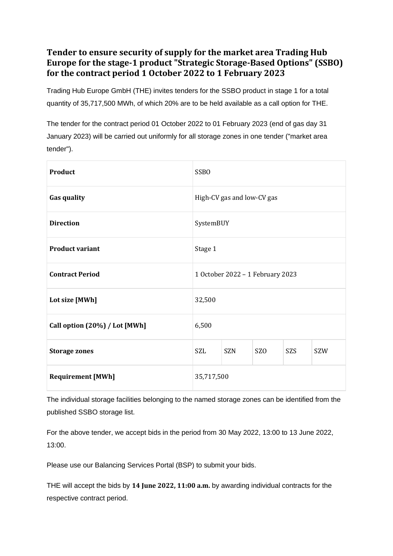## **Tender to ensure security of supply for the market area Trading Hub Europe for the stage-1 product "Strategic Storage-Based Options" (SSBO) for the contract period 1 October 2022 to 1 February 2023**

Trading Hub Europe GmbH (THE) invites tenders for the SSBO product in stage 1 for a total quantity of 35,717,500 MWh, of which 20% are to be held available as a call option for THE.

The tender for the contract period 01 October 2022 to 01 February 2023 (end of gas day 31 January 2023) will be carried out uniformly for all storage zones in one tender ("market area tender").

| <b>Product</b>                | <b>SSBO</b>                      |            |                 |     |     |
|-------------------------------|----------------------------------|------------|-----------------|-----|-----|
| <b>Gas quality</b>            | High-CV gas and low-CV gas       |            |                 |     |     |
| <b>Direction</b>              | SystemBUY                        |            |                 |     |     |
| <b>Product variant</b>        | Stage 1                          |            |                 |     |     |
| <b>Contract Period</b>        | 1 October 2022 - 1 February 2023 |            |                 |     |     |
| Lot size [MWh]                | 32,500                           |            |                 |     |     |
| Call option (20%) / Lot [MWh] | 6,500                            |            |                 |     |     |
| <b>Storage zones</b>          | <b>SZL</b>                       | <b>SZN</b> | SZ <sub>O</sub> | SZS | SZW |
| <b>Requirement [MWh]</b>      | 35,717,500                       |            |                 |     |     |

The individual storage facilities belonging to the named storage zones can be identified from the published SSBO storage list.

For the above tender, we accept bids in the period from 30 May 2022, 13:00 to 13 June 2022, 13:00.

Please use our Balancing Services Portal (BSP) to submit your bids.

THE will accept the bids by **14 June 2022, 11:00 a.m.** by awarding individual contracts for the respective contract period.